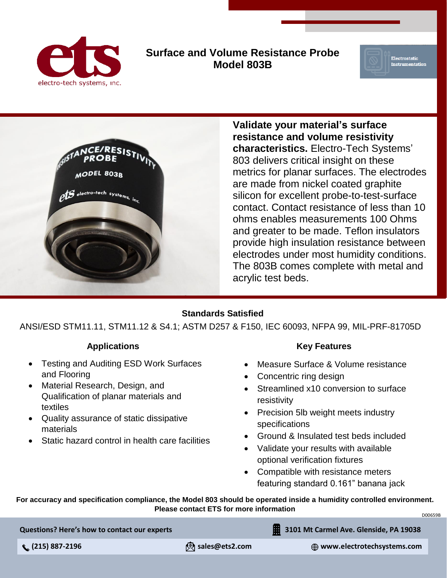

## **Surface and Volume Resistance Probe Model 803B**





**Validate your material's surface resistance and volume resistivity characteristics.** Electro-Tech Systems' 803 delivers critical insight on these metrics for planar surfaces. The electrodes are made from nickel coated graphite silicon for excellent probe-to-test-surface contact. Contact resistance of less than 10 ohms enables measurements 100 Ohms and greater to be made. Teflon insulators provide high insulation resistance between electrodes under most humidity conditions. The 803B comes complete with metal and acrylic test beds.

#### **Standards Satisfied**

ANSI/ESD STM11.11, STM11.12 & S4.1; ASTM D257 & F150, IEC 60093, NFPA 99, MIL-PRF-81705D

### **Applications**

- Testing and Auditing ESD Work Surfaces and Flooring
- Material Research, Design, and Qualification of planar materials and textiles
- Quality assurance of static dissipative materials
- Static hazard control in health care facilities

#### **Key Features**

- Measure Surface & Volume resistance
- Concentric ring design
- Streamlined x10 conversion to surface resistivity
- Precision 5lb weight meets industry specifications
- Ground & Insulated test beds included
- Validate your results with available optional verification fixtures
- Compatible with resistance meters featuring standard 0.161" banana jack

**For accuracy and specification compliance, the Model 803 should be operated inside a humidity controlled environment. Please contact ETS for more information**

D00659B

**Questions? Here's how to contact our experts**

 **(215) 887-2196 sales@ets2.com www.electrotechsystems.com**

**3101 Mt Carmel Ave. Glenside, PA 19038**